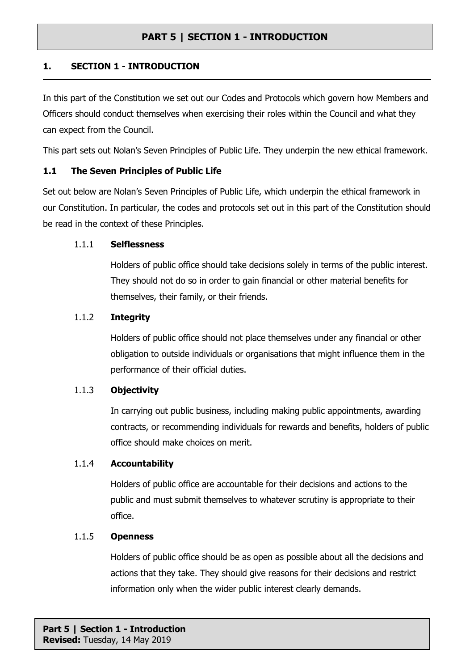## **1. SECTION 1 - INTRODUCTION**

In this part of the Constitution we set out our Codes and Protocols which govern how Members and Officers should conduct themselves when exercising their roles within the Council and what they can expect from the Council.

This part sets out Nolan's Seven Principles of Public Life. They underpin the new ethical framework.

## **1.1 The Seven Principles of Public Life**

Set out below are Nolan's Seven Principles of Public Life, which underpin the ethical framework in our Constitution. In particular, the codes and protocols set out in this part of the Constitution should be read in the context of these Principles.

#### 1.1.1 **Selflessness**

Holders of public office should take decisions solely in terms of the public interest. They should not do so in order to gain financial or other material benefits for themselves, their family, or their friends.

#### 1.1.2 **Integrity**

Holders of public office should not place themselves under any financial or other obligation to outside individuals or organisations that might influence them in the performance of their official duties.

#### 1.1.3 **Objectivity**

In carrying out public business, including making public appointments, awarding contracts, or recommending individuals for rewards and benefits, holders of public office should make choices on merit.

#### 1.1.4 **Accountability**

Holders of public office are accountable for their decisions and actions to the public and must submit themselves to whatever scrutiny is appropriate to their office.

#### 1.1.5 **Openness**

Holders of public office should be as open as possible about all the decisions and actions that they take. They should give reasons for their decisions and restrict information only when the wider public interest clearly demands.